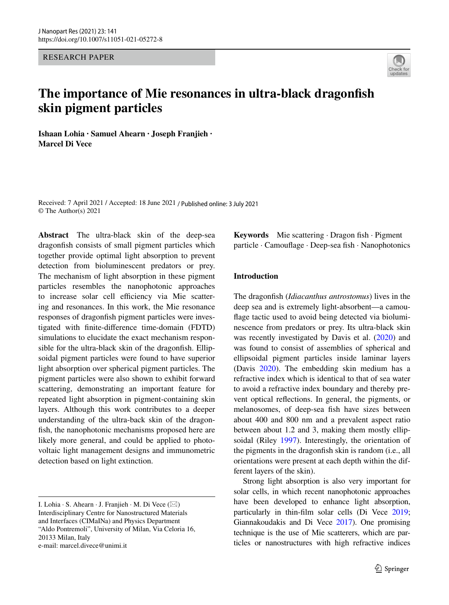RESEARCH PAPER



# **The importance of Mie resonances in ultra‑black dragonfsh skin pigment particles**

**Ishaan Lohia · Samuel Ahearn · Joseph Franjieh · Marcel Di Vece** 

Received: 7 April 2021 / Accepted: 18 June 2021 / Published online: 3 July 2021 © The Author(s) 2021

**Abstract** The ultra-black skin of the deep-sea dragonfsh consists of small pigment particles which together provide optimal light absorption to prevent detection from bioluminescent predators or prey. The mechanism of light absorption in these pigment particles resembles the nanophotonic approaches to increase solar cell efficiency via Mie scattering and resonances. In this work, the Mie resonance responses of dragonfsh pigment particles were investigated with fnite-diference time-domain (FDTD) simulations to elucidate the exact mechanism responsible for the ultra-black skin of the dragonfsh. Ellipsoidal pigment particles were found to have superior light absorption over spherical pigment particles. The pigment particles were also shown to exhibit forward scattering, demonstrating an important feature for repeated light absorption in pigment-containing skin layers. Although this work contributes to a deeper understanding of the ultra-back skin of the dragonfish, the nanophotonic mechanisms proposed here are likely more general, and could be applied to photovoltaic light management designs and immunometric detection based on light extinction.

Keywords Mie scattering · Dragon fish · Pigment particle · Camoufage · Deep-sea fsh · Nanophotonics

# **Introduction**

The dragonfsh (*Idiacanthus antrostomus*) lives in the deep sea and is extremely light-absorbent—a camoufage tactic used to avoid being detected via bioluminescence from predators or prey. Its ultra-black skin was recently investigated by Davis et al. ([2020\)](#page-6-0) and was found to consist of assemblies of spherical and ellipsoidal pigment particles inside laminar layers (Davis [2020](#page-6-0)). The embedding skin medium has a refractive index which is identical to that of sea water to avoid a refractive index boundary and thereby prevent optical refections. In general, the pigments, or melanosomes, of deep-sea fsh have sizes between about 400 and 800 nm and a prevalent aspect ratio between about 1.2 and 3, making them mostly ellipsoidal (Riley [1997\)](#page-7-0). Interestingly, the orientation of the pigments in the dragonfsh skin is random (i.e., all orientations were present at each depth within the different layers of the skin).

Strong light absorption is also very important for solar cells, in which recent nanophotonic approaches have been developed to enhance light absorption, particularly in thin-flm solar cells (Di Vece [2019;](#page-6-1) Giannakoudakis and Di Vece [2017](#page-6-2)). One promising technique is the use of Mie scatterers, which are particles or nanostructures with high refractive indices

I. Lohia · S. Ahearn · J. Franjieh · M. Di Vece  $(\boxtimes)$ Interdisciplinary Centre for Nanostructured Materials and Interfaces (CIMaINa) and Physics Department "Aldo Pontremoli", University of Milan, Via Celoria 16, 20133 Milan, Italy e-mail: marcel.divece@unimi.it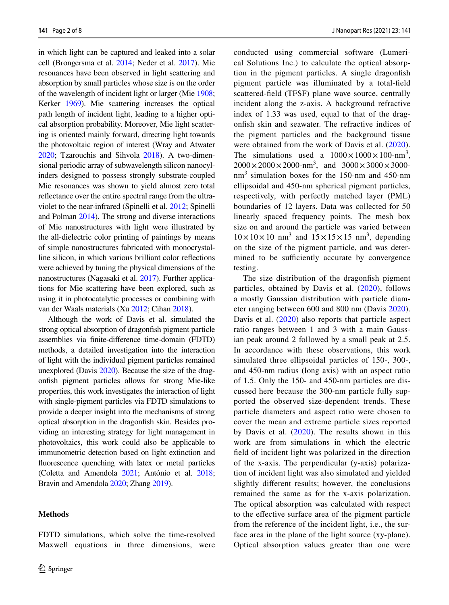in which light can be captured and leaked into a solar cell (Brongersma et al. [2014](#page-6-3); Neder et al. [2017](#page-7-1)). Mie resonances have been observed in light scattering and absorption by small particles whose size is on the order of the wavelength of incident light or larger (Mie [1908](#page-6-4); Kerker [1969](#page-6-5)). Mie scattering increases the optical path length of incident light, leading to a higher optical absorption probability. Moreover, Mie light scattering is oriented mainly forward, directing light towards the photovoltaic region of interest (Wray and Atwater [2020](#page-7-2); Tzarouchis and Sihvola [2018](#page-7-3)). A two-dimensional periodic array of subwavelength silicon nanocylinders designed to possess strongly substrate-coupled Mie resonances was shown to yield almost zero total refectance over the entire spectral range from the ultraviolet to the near-infrared (Spinelli et al. [2012;](#page-7-4) Spinelli and Polman [2014\)](#page-7-5). The strong and diverse interactions of Mie nanostructures with light were illustrated by the all-dielectric color printing of paintings by means of simple nanostructures fabricated with monocrystalline silicon, in which various brilliant color refections were achieved by tuning the physical dimensions of the nanostructures (Nagasaki et al. [2017](#page-6-6)). Further applications for Mie scattering have been explored, such as using it in photocatalytic processes or combining with van der Waals materials (Xu [2012;](#page-7-6) Cihan [2018](#page-6-7)).

Although the work of Davis et al. simulated the strong optical absorption of dragonfsh pigment particle assemblies via fnite-diference time-domain (FDTD) methods, a detailed investigation into the interaction of light with the individual pigment particles remained unexplored (Davis [2020](#page-6-0)). Because the size of the dragonfsh pigment particles allows for strong Mie-like properties, this work investigates the interaction of light with single-pigment particles via FDTD simulations to provide a deeper insight into the mechanisms of strong optical absorption in the dragonfsh skin. Besides providing an interesting strategy for light management in photovoltaics, this work could also be applicable to immunometric detection based on light extinction and fuorescence quenching with latex or metal particles (Coletta and Amendola [2021;](#page-6-8) António et al. [2018](#page-6-9); Bravin and Amendola [2020;](#page-6-10) Zhang [2019](#page-7-7)).

#### **Methods**

FDTD simulations, which solve the time-resolved Maxwell equations in three dimensions, were conducted using commercial software (Lumerical Solutions Inc.) to calculate the optical absorption in the pigment particles. A single dragonfsh pigment particle was illuminated by a total-feld scattered-feld (TFSF) plane wave source, centrally incident along the z-axis. A background refractive index of 1.33 was used, equal to that of the dragonfsh skin and seawater. The refractive indices of the pigment particles and the background tissue were obtained from the work of Davis et al. ([2020](#page-6-0)). The simulations used a  $1000 \times 1000 \times 100$ -nm<sup>3</sup>,  $2000 \times 2000 \times 2000$ -nm<sup>3</sup>, and  $3000 \times 3000 \times 3000$ nm<sup>3</sup> simulation boxes for the 150-nm and 450-nm ellipsoidal and 450-nm spherical pigment particles, respectively, with perfectly matched layer (PML) boundaries of 12 layers. Data was collected for 50 linearly spaced frequency points. The mesh box size on and around the particle was varied between  $10 \times 10 \times 10$  nm<sup>3</sup> and  $15 \times 15 \times 15$  nm<sup>3</sup>, depending on the size of the pigment particle, and was determined to be sufficiently accurate by convergence testing.

The size distribution of the dragonfsh pigment particles, obtained by Davis et al. [\(2020\)](#page-6-0), follows a mostly Gaussian distribution with particle diameter ranging between 600 and 800 nm (Davis [2020](#page-6-0)). Davis et al. [\(2020\)](#page-6-0) also reports that particle aspect ratio ranges between 1 and 3 with a main Gaussian peak around 2 followed by a small peak at 2.5. In accordance with these observations, this work simulated three ellipsoidal particles of 150-, 300-, and 450-nm radius (long axis) with an aspect ratio of 1.5. Only the 150- and 450-nm particles are discussed here because the 300-nm particle fully supported the observed size-dependent trends. These particle diameters and aspect ratio were chosen to cover the mean and extreme particle sizes reported by Davis et al.  $(2020)$  $(2020)$ . The results shown in this work are from simulations in which the electric feld of incident light was polarized in the direction of the x-axis. The perpendicular (y-axis) polarization of incident light was also simulated and yielded slightly diferent results; however, the conclusions remained the same as for the x-axis polarization. The optical absorption was calculated with respect to the efective surface area of the pigment particle from the reference of the incident light, i.e., the surface area in the plane of the light source (xy-plane). Optical absorption values greater than one were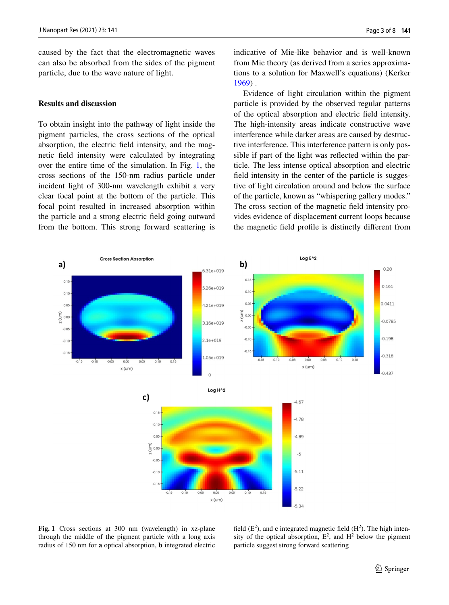caused by the fact that the electromagnetic waves can also be absorbed from the sides of the pigment particle, due to the wave nature of light.

## **Results and discussion**

To obtain insight into the pathway of light inside the pigment particles, the cross sections of the optical absorption, the electric feld intensity, and the magnetic feld intensity were calculated by integrating over the entire time of the simulation. In Fig. [1,](#page-2-0) the cross sections of the 150-nm radius particle under incident light of 300-nm wavelength exhibit a very clear focal point at the bottom of the particle. This focal point resulted in increased absorption within the particle and a strong electric feld going outward from the bottom. This strong forward scattering is indicative of Mie-like behavior and is well-known from Mie theory (as derived from a series approximations to a solution for Maxwell's equations) (Kerker [1969\)](#page-6-5) .

Evidence of light circulation within the pigment particle is provided by the observed regular patterns of the optical absorption and electric feld intensity. The high-intensity areas indicate constructive wave interference while darker areas are caused by destructive interference. This interference pattern is only possible if part of the light was refected within the particle. The less intense optical absorption and electric feld intensity in the center of the particle is suggestive of light circulation around and below the surface of the particle, known as "whispering gallery modes." The cross section of the magnetic feld intensity provides evidence of displacement current loops because the magnetic feld profle is distinctly diferent from



<span id="page-2-0"></span>**Fig. 1** Cross sections at 300 nm (wavelength) in xz-plane through the middle of the pigment particle with a long axis radius of 150 nm for **a** optical absorption, **b** integrated electric

field  $(E^2)$ , and **c** integrated magnetic field  $(H^2)$ . The high intensity of the optical absorption,  $E^2$ , and  $H^2$  below the pigment particle suggest strong forward scattering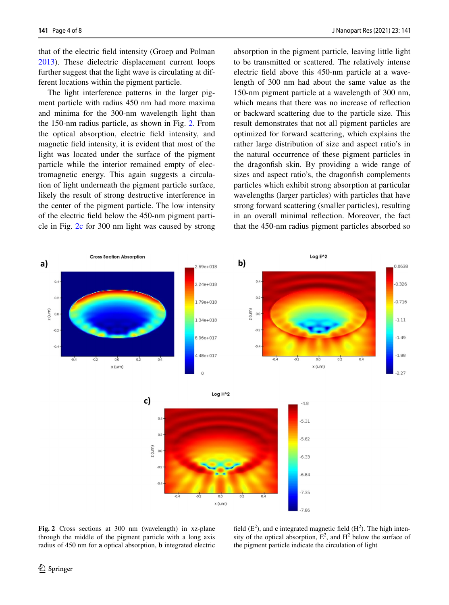that of the electric feld intensity (Groep and Polman [2013\)](#page-7-8). These dielectric displacement current loops further suggest that the light wave is circulating at different locations within the pigment particle.

The light interference patterns in the larger pigment particle with radius 450 nm had more maxima and minima for the 300-nm wavelength light than the 150-nm radius particle, as shown in Fig. [2.](#page-3-0) From the optical absorption, electric feld intensity, and magnetic feld intensity, it is evident that most of the light was located under the surface of the pigment particle while the interior remained empty of electromagnetic energy. This again suggests a circulation of light underneath the pigment particle surface, likely the result of strong destructive interference in the center of the pigment particle. The low intensity of the electric feld below the 450-nm pigment particle in Fig. [2c](#page-3-0) for 300 nm light was caused by strong absorption in the pigment particle, leaving little light to be transmitted or scattered. The relatively intense electric feld above this 450-nm particle at a wavelength of 300 nm had about the same value as the 150-nm pigment particle at a wavelength of 300 nm, which means that there was no increase of refection or backward scattering due to the particle size. This result demonstrates that not all pigment particles are optimized for forward scattering, which explains the rather large distribution of size and aspect ratio's in the natural occurrence of these pigment particles in the dragonfsh skin. By providing a wide range of sizes and aspect ratio's, the dragonfsh complements particles which exhibit strong absorption at particular wavelengths (larger particles) with particles that have strong forward scattering (smaller particles), resulting in an overall minimal refection. Moreover, the fact that the 450-nm radius pigment particles absorbed so





<span id="page-3-0"></span>**Fig. 2** Cross sections at 300 nm (wavelength) in xz-plane through the middle of the pigment particle with a long axis radius of 450 nm for **a** optical absorption, **b** integrated electric

field  $(E^2)$ , and **c** integrated magnetic field  $(H^2)$ . The high intensity of the optical absorption,  $E^2$ , and  $H^2$  below the surface of the pigment particle indicate the circulation of light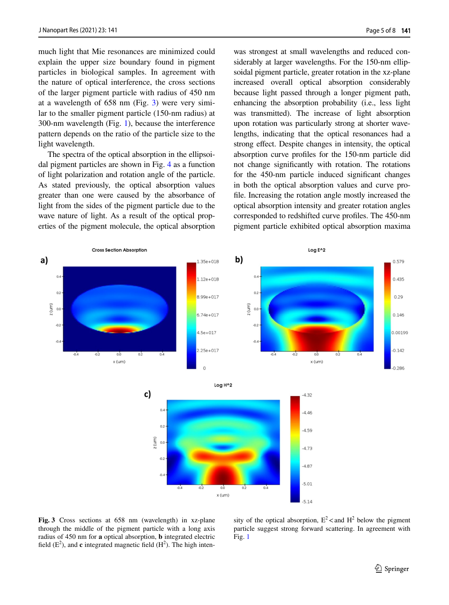much light that Mie resonances are minimized could explain the upper size boundary found in pigment particles in biological samples. In agreement with the nature of optical interference, the cross sections of the larger pigment particle with radius of 450 nm at a wavelength of 658 nm (Fig. [3](#page-4-0)) were very similar to the smaller pigment particle (150-nm radius) at 300-nm wavelength (Fig. [1](#page-2-0)), because the interference pattern depends on the ratio of the particle size to the light wavelength.

The spectra of the optical absorption in the ellipsoidal pigment particles are shown in Fig. [4](#page-5-0) as a function of light polarization and rotation angle of the particle. As stated previously, the optical absorption values greater than one were caused by the absorbance of light from the sides of the pigment particle due to the wave nature of light. As a result of the optical properties of the pigment molecule, the optical absorption was strongest at small wavelengths and reduced considerably at larger wavelengths. For the 150-nm ellipsoidal pigment particle, greater rotation in the xz-plane increased overall optical absorption considerably because light passed through a longer pigment path, enhancing the absorption probability (i.e., less light was transmitted). The increase of light absorption upon rotation was particularly strong at shorter wavelengths, indicating that the optical resonances had a strong efect. Despite changes in intensity, the optical absorption curve profles for the 150-nm particle did not change signifcantly with rotation. The rotations for the 450-nm particle induced signifcant changes in both the optical absorption values and curve profle. Increasing the rotation angle mostly increased the optical absorption intensity and greater rotation angles corresponded to redshifted curve profles. The 450-nm pigment particle exhibited optical absorption maxima





<span id="page-4-0"></span>**Fig. 3** Cross sections at 658 nm (wavelength) in xz-plane through the middle of the pigment particle with a long axis radius of 450 nm for **a** optical absorption, **b** integrated electric field  $(E^2)$ , and **c** integrated magnetic field  $(H^2)$ . The high inten-

sity of the optical absorption,  $E^2$  < and  $H^2$  below the pigment particle suggest strong forward scattering. In agreement with Fig. [1](#page-2-0)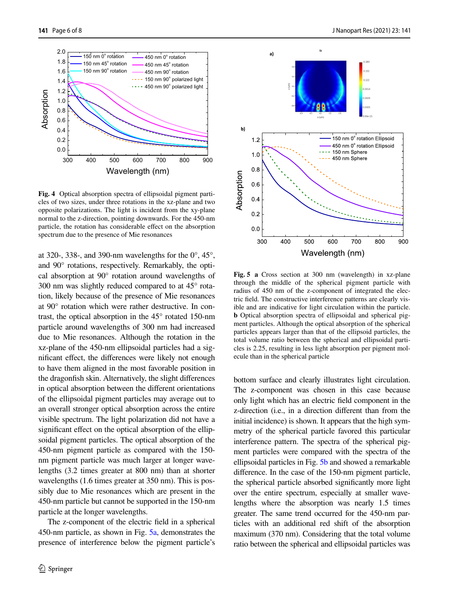$0.0$ 

Absorption

Absorption



<span id="page-5-0"></span>**Fig. 4** Optical absorption spectra of ellipsoidal pigment particles of two sizes, under three rotations in the xz-plane and two opposite polarizations. The light is incident from the xy-plane normal to the z-direction, pointing downwards. For the 450-nm particle, the rotation has considerable efect on the absorption spectrum due to the presence of Mie resonances

300 400 500 600 700 800 900

Wavelength (nm)

at 320-, 338-, and 390-nm wavelengths for the  $0^{\circ}$ , 45<sup> $\circ$ </sup>, and 90° rotations, respectively. Remarkably, the optical absorption at 90° rotation around wavelengths of 300 nm was slightly reduced compared to at 45° rotation, likely because of the presence of Mie resonances at 90° rotation which were rather destructive. In contrast, the optical absorption in the 45° rotated 150-nm particle around wavelengths of 300 nm had increased due to Mie resonances. Although the rotation in the xz-plane of the 450-nm ellipsoidal particles had a signifcant efect, the diferences were likely not enough to have them aligned in the most favorable position in the dragonfsh skin. Alternatively, the slight diferences in optical absorption between the diferent orientations of the ellipsoidal pigment particles may average out to an overall stronger optical absorption across the entire visible spectrum. The light polarization did not have a significant effect on the optical absorption of the ellipsoidal pigment particles. The optical absorption of the 450-nm pigment particle as compared with the 150 nm pigment particle was much larger at longer wavelengths (3.2 times greater at 800 nm) than at shorter wavelengths (1.6 times greater at 350 nm). This is possibly due to Mie resonances which are present in the 450-nm particle but cannot be supported in the 150-nm particle at the longer wavelengths.

The z-component of the electric feld in a spherical 450-nm particle, as shown in Fig. [5a](#page-5-1), demonstrates the presence of interference below the pigment particle's



<span id="page-5-1"></span>**Fig. 5 a** Cross section at 300 nm (wavelength) in xz-plane through the middle of the spherical pigment particle with radius of 450 nm of the z-component of integrated the electric feld. The constructive interference patterns are clearly visible and are indicative for light circulation within the particle. **b** Optical absorption spectra of ellipsoidal and spherical pigment particles. Although the optical absorption of the spherical particles appears larger than that of the ellipsoid particles, the total volume ratio between the spherical and ellipsoidal particles is 2.25, resulting in less light absorption per pigment molecule than in the spherical particle

bottom surface and clearly illustrates light circulation. The z-component was chosen in this case because only light which has an electric feld component in the z-direction (i.e., in a direction diferent than from the initial incidence) is shown. It appears that the high symmetry of the spherical particle favored this particular interference pattern. The spectra of the spherical pigment particles were compared with the spectra of the ellipsoidal particles in Fig. [5b](#page-5-1) and showed a remarkable diference. In the case of the 150-nm pigment particle, the spherical particle absorbed signifcantly more light over the entire spectrum, especially at smaller wavelengths where the absorption was nearly 1.5 times greater. The same trend occurred for the 450-nm particles with an additional red shift of the absorption maximum (370 nm). Considering that the total volume ratio between the spherical and ellipsoidal particles was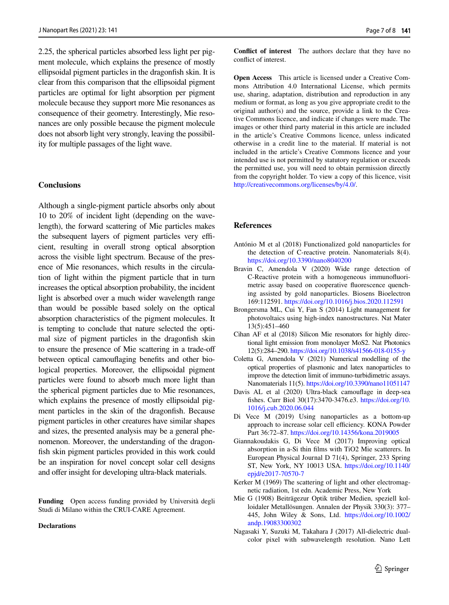2.25, the spherical particles absorbed less light per pigment molecule, which explains the presence of mostly ellipsoidal pigment particles in the dragonfsh skin. It is clear from this comparison that the ellipsoidal pigment particles are optimal for light absorption per pigment molecule because they support more Mie resonances as consequence of their geometry. Interestingly, Mie resonances are only possible because the pigment molecule does not absorb light very strongly, leaving the possibility for multiple passages of the light wave.

## **Conclusions**

Although a single-pigment particle absorbs only about 10 to 20% of incident light (depending on the wavelength), the forward scattering of Mie particles makes the subsequent layers of pigment particles very efficient, resulting in overall strong optical absorption across the visible light spectrum. Because of the presence of Mie resonances, which results in the circulation of light within the pigment particle that in turn increases the optical absorption probability, the incident light is absorbed over a much wider wavelength range than would be possible based solely on the optical absorption characteristics of the pigment molecules. It is tempting to conclude that nature selected the optimal size of pigment particles in the dragonfsh skin to ensure the presence of Mie scattering in a trade-of between optical camoufaging benefts and other biological properties. Moreover, the ellipsoidal pigment particles were found to absorb much more light than the spherical pigment particles due to Mie resonances, which explains the presence of mostly ellipsoidal pigment particles in the skin of the dragonfsh. Because pigment particles in other creatures have similar shapes and sizes, the presented analysis may be a general phenomenon. Moreover, the understanding of the dragonfish skin pigment particles provided in this work could be an inspiration for novel concept solar cell designs and offer insight for developing ultra-black materials.

**Funding** Open access funding provided by Università degli Studi di Milano within the CRUI-CARE Agreement.

#### **Declarations**

**Confict of interest** The authors declare that they have no confict of interest.

**Open Access** This article is licensed under a Creative Commons Attribution 4.0 International License, which permits use, sharing, adaptation, distribution and reproduction in any medium or format, as long as you give appropriate credit to the original author(s) and the source, provide a link to the Creative Commons licence, and indicate if changes were made. The images or other third party material in this article are included in the article's Creative Commons licence, unless indicated otherwise in a credit line to the material. If material is not included in the article's Creative Commons licence and your intended use is not permitted by statutory regulation or exceeds the permitted use, you will need to obtain permission directly from the copyright holder. To view a copy of this licence, visit [http://creativecommons.org/licenses/by/4.0/.](http://creativecommons.org/licenses/by/4.0/)

#### **References**

- <span id="page-6-9"></span>António M et al (2018) Functionalized gold nanoparticles for the detection of C-reactive protein. Nanomaterials 8(4). <https://doi.org/10.3390/nano8040200>
- <span id="page-6-10"></span>Bravin C, Amendola V (2020) Wide range detection of C-Reactive protein with a homogeneous immunofuorimetric assay based on cooperative fuorescence quenching assisted by gold nanoparticles. Biosens Bioelectron 169:112591. <https://doi.org/10.1016/j.bios.2020.112591>
- <span id="page-6-3"></span>Brongersma ML, Cui Y, Fan S (2014) Light management for photovoltaics using high-index nanostructures. Nat Mater 13(5):451–460
- <span id="page-6-7"></span>Cihan AF et al (2018) Silicon Mie resonators for highly directional light emission from monolayer MoS2. Nat Photonics 12(5):284–290.<https://doi.org/10.1038/s41566-018-0155-y>
- <span id="page-6-8"></span>Coletta G, Amendola V (2021) Numerical modelling of the optical properties of plasmonic and latex nanoparticles to improve the detection limit of immuno-turbidimetric assays. Nanomaterials 11(5). <https://doi.org/10.3390/nano11051147>
- <span id="page-6-0"></span>Davis AL et al (2020) Ultra-black camoufage in deep-sea fshes. Curr Biol 30(17):3470-3476.e3. [https://doi.org/10.](https://doi.org/10.1016/j.cub.2020.06.044) [1016/j.cub.2020.06.044](https://doi.org/10.1016/j.cub.2020.06.044)
- <span id="page-6-1"></span>Di Vece M (2019) Using nanoparticles as a bottom-up approach to increase solar cell efficiency. KONA Powder Part 36:72–87.<https://doi.org/10.14356/kona.2019005>
- <span id="page-6-2"></span>Giannakoudakis G, Di Vece M (2017) Improving optical absorption in a-Si thin flms with TiO2 Mie scatterers. In European Physical Journal D 71(4), Springer, 233 Spring ST, New York, NY 10013 USA. [https://doi.org/10.1140/](https://doi.org/10.1140/epjd/e2017-70570-7) [epjd/e2017-70570-7](https://doi.org/10.1140/epjd/e2017-70570-7)
- <span id="page-6-5"></span>Kerker M (1969) The scattering of light and other electromagnetic radiation, 1st edn. Academic Press, New York
- <span id="page-6-4"></span>Mie G (1908) Beiträgezur Optik trüber Medien, speziell kolloidaler Metallösungen. Annalen der Physik 330(3): 377– 445, John Wiley & Sons, Ltd. [https://doi.org/10.1002/](https://doi.org/10.1002/andp.19083300302) [andp.19083300302](https://doi.org/10.1002/andp.19083300302)
- <span id="page-6-6"></span>Nagasaki Y, Suzuki M, Takahara J (2017) All-dielectric dualcolor pixel with subwavelength resolution. Nano Lett